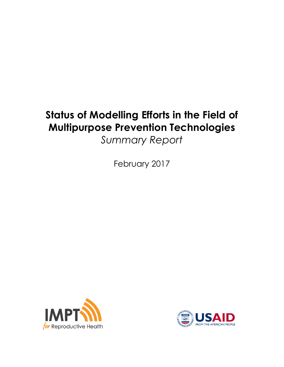# **Status of Modelling Efforts in the Field of Multipurpose Prevention Technologies**

*Summary Report*

February 2017



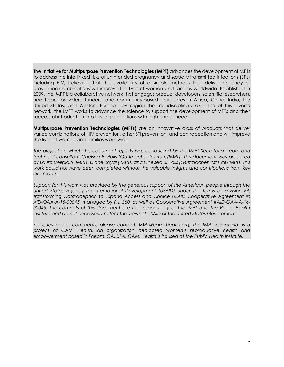The **Initiative for Multipurpose Prevention Technologies (IMPT)** advances the development of MPTs to address the interlinked risks of unintended pregnancy and sexually transmitted infections (STIs) including HIV, believing that the availability of desirable methods that deliver an array of prevention combinations will improve the lives of women and families worldwide. Established in 2009, the IMPT is a collaborative network that engages product developers, scientific researchers, healthcare providers, funders, and community-based advocates in Africa, China, India, the United States, and Western Europe. Leveraging the multidisciplinary expertise of this diverse network, the IMPT works to advance the science to support the development of MPTs and their successful introduction into target populations with high unmet need.

**Multipurpose Prevention Technologies (MPTs)** are an innovative class of products that deliver varied combinations of HIV prevention, other STI prevention, and contraception and will improve the lives of women and families worldwide.

*The project on which this document reports was conducted by the IMPT Secretariat team and technical consultant Chelsea B. Polis (Guttmacher Institute/IMPT). This document was prepared by Laura Dellplain (IMPT), Diane Royal (IMPT), and Chelsea B. Polis (Guttmacher Institute/IMPT). This work could not have been completed without the valuable insights and contributions from key informants.*

*Support for this work was provided by the generous support of the American people through the United States Agency for International Development (USAID) under the terms of Envision FP: Transforming Contraception to Expand Access and Choice USAID Cooperative Agreement #: AID-OAA-A-15-00045, managed by FHI 360, as well as Cooperative Agreement #AID-OAA-A-16- 00045. The contents of this document are the responsibility of the IMPT and the Public Health Institute and do not necessarily reflect the views of USAID or the United States Government.*

*For questions or comments, please contact: IMPT@cami-health.org. The IMPT Secretariat is a project of CAMI Health, an organization dedicated women's reproductive health and empowerment based in Folsom, CA, USA. CAMI Health is housed at the Public Health Institute.*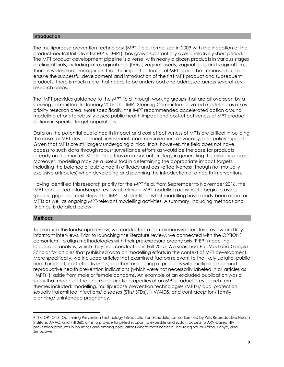#### **Introduction**

The multipurpose prevention technology (MPT) field, formalized in 2009 with the inception of the product-neutral Initiative for MPTs (IMPT), has grown substantially over a relatively short period. The MPT product development pipeline is diverse, with nearly a dozen products in various stages of clinical trials, including intravaginal rings (IVRs), vaginal inserts, vaginal gels, and vaginal films. There is widespread recognition that the impact potential of MPTs could be immense, but to ensure the successful development and introduction of the first MPT product and subsequent products, there is much more that needs to be understood and addressed across several key research areas.

The IMPT provides guidance to the MPT field through working groups that are all overseen by a steering committee. In January 2015, the IMPT Steering Committee elevated modelling as a key priority research area. More specifically, the IMPT recommended accelerated action around modelling efforts to robustly assess public health impact and cost-effectiveness of MPT product options in specific target populations.

Data on the potential public health impact and cost effectiveness of MPTs are critical in building the case for MPT development, investment, commercialization, advocacy, and policy support. Given that MPTs are still largely undergoing clinical trials, however, the field does not have access to such data through robust surveillance efforts as would be the case for products already on the market. Modelling is thus an important strategy in generating this evidence base. Moreover, modelling may be a useful tool in determining the appropriate impact targets, including the balance of public health efficacy and cost-effectiveness (though not mutually exclusive attributes) when developing and planning the introduction of a health intervention.

Having identified this research priority for the MPT field, from September to November 2016, the IMPT conducted a landscape review of relevant MPT modelling activities to begin to assess specific gaps and next steps. The IMPT first identified what modelling has already been done for MPTs as well as ongoing MPT-relevant modelling activities. A summary, including methods and findings, is detailed below.

#### **Methods**

 $\overline{a}$ 

To produce this landscape review, we conducted a comprehensive literature review and key informant interviews. Prior to launching the literature review, we connected with the OPTIONS consortium<sup>1</sup> to align methodologies with their pre-exposure prophylaxis (PrEP) modelling landscape analysis, which they had conducted in Fall 2015. We searched PubMed and Google Scholar for articles that published data on modelling efforts in the context of MPT development. More specifically, we included articles that examined factors relevant to the likely uptake, public health impact, cost-effectiveness, or other forecasting of products with multiple sexual and reproductive health prevention indications (which were not necessarily labeled in all articles as "MPTs"), aside from male or female condoms. An example of an excluded publication was a study that modelled the pharmacokinetic properties of an MPT product. Key search term themes included: modelling, multipurpose prevention technologies (MPTs)/ dual protection, sexually transmitted infections/ diseases (STIs/ STDs), HIV/AIDS, and contraception/ family planning/ unintended pregnancy.

<sup>1</sup> The OPTIONS (Optimizing Prevention Technology Introduction on Schedule) consortium led by Wits Reproductive Health Institute, AVAC, and FHI 360, aims to provide targeted support to expedite and sustain access to ARV-based HIV prevention products in countries and among populations where most needed, including South Africa, Kenya, and Zimbabwe.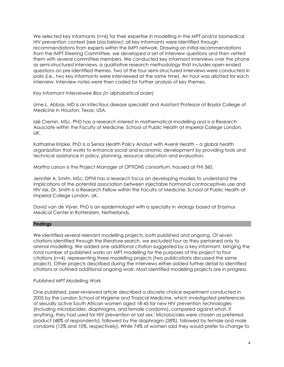We selected key informants (n=6) for their expertise in modelling in the MPT and/or biomedical HIV prevention context (see bios below); all key informants were identified through recommendations from experts within the IMPT network. Drawing on initial recommendations from the IMPT Steering Committee, we developed a set of interview questions and then vetted them with several committee members. We conducted key informant interviews over the phone as semi-structured interviews, a qualitative research methodology that includes open-ended questions on pre-identified themes. Two of the four semi-structured interviews were conducted in pairs (i.e., two key informants were interviewed at the same time). An hour was allotted for each interview. Interview notes were then coded for further analysis of key themes.

## *Key Informant Interviewee Bios (in alphabetical order)*

Ume L. Abbas, MD is an infectious disease specialist and Assistant Professor at Baylor College of Medicine in Houston, Texas, USA.

Idé Cremin, MSc, PhD has a research interest in mathematical modelling and is a Research Associate within the Faculty of Medicine, School of Public Health at Imperial College London, UK.

Katharine Kripke, PhD is a Senior Health Policy Analyst with Avenir Health – a global health organization that works to enhance social and economic development by providing tools and technical assistance in policy, planning, resource allocation and evaluation.

Martha Larson is the Project Manager of OPTIONS consortium, housed at FHI 360.

Jennifer A. Smith, MSc, DPhil has a research focus on developing models to understand the implications of the potential association between injectable hormonal contraceptives use and HIV risk. Dr. Smith is a Research Fellow within the Faculty of Medicine, School of Public Health at Imperial College London, UK.

David van de Vijver, PhD is an epidemiologist with a specialty in virology based at Erasmus Medical Center in Rotterdam, Netherlands.

## **Findings**

We identified several relevant modelling projects, both published and ongoing. Of seven citations identified through the literature search, we excluded four as they pertained only to animal modelling. We added one additional citation suggested by a key informant, bringing the total number of published works on MPT modelling for the purposes of this project to four citations (n=4), representing three modelling projects (two publications discussed the same project). Other projects described during the interviews either added further detail to identified citations or outlined additional ongoing work. Most identified modelling projects are in progress.

## *Published MPT Modelling Work*

One published, peer-reviewed article described a discrete choice experiment conducted in 2005 by the London School of Hygiene and Tropical Medicine, which investigated preferences of sexually active South African women aged 18-45 for new HIV prevention technologies (including microbicides, diaphragms, and female condoms), compared against what, if anything, they had used for HIV prevention at last sex. <sup>i</sup> Microbicides were chosen as preferred product (48% of respondents), followed by the diaphragm (28%), followed by female and male condoms (13% and 10%, respectively). While 74% of women said they would prefer to change to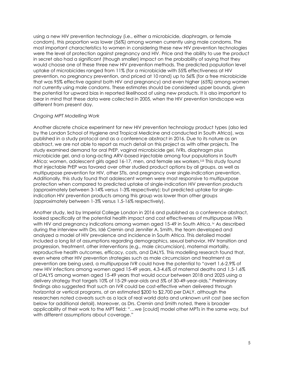using a new HIV prevention technology (i.e., either a microbicide, diaphragm, or female condom), this proportion was lower (56%) among women currently using male condoms. The most important characteristics to women in considering these new HIV prevention technologies were the level of protection against pregnancy and HIV. Price and the ability to use the product in secret also had a significant (though smaller) impact on the probability of saying that they would choose one of these three new HIV prevention methods. The predicted population level uptake of microbicides ranged from 11% (for a microbicide with 55% effectiveness at HIV prevention, no pregnancy prevention, and priced at 10 rand) up to 56% (for a free microbicide that was 95% effective against both HIV and pregnancy) and even higher (65%) among women not currently using male condoms. These estimates should be considered upper bounds, given the potential for upward bias in reported likelihood of using new products. It is also important to bear in mind that these data were collected in 2005, when the HIV prevention landscape was different from present day.

## *Ongoing MPT Modelling Work*

Another discrete choice experiment for new HIV prevention technology product types (also led by the London School of Hygiene and Tropical Medicine and conducted in South Africa), was published in a study protocol and as a conference abstract in 2016. Due to its nature as an abstract, we are not able to report as much detail on this project as with other projects. The study examined demand for oral PrEP, vaginal microbicide gel, IVRs, diaphragm plus microbicide gel, and a long-acting ARV-based injectable among four populations in South Africa: women, adolescent girls aged 16-17, men, and female sex workers.<sup>ii,iii</sup> This study found that injectable PrEP was favored over other studied product options by all groups, as well as multipurpose prevention for HIV, other STIs, and pregnancy over single-indication prevention. Additionally, this study found that adolescent women were most responsive to multipurpose protection when compared to predicted uptake of single-indication HIV prevention products (approximately between 3-14% versus 1-3% respectively); but predicted uptake for singleindication HIV prevention products among this group was lower than other groups (approximately between 1-3% versus 1.5-16% respectively).

Another study, led by Imperial College London in 2016 and published as a conference abstract, looked specifically at the potential health impact and cost effectiveness of multipurpose IVRs with HIV and pregnancy indications among women aged 15-49 in South Africa. iv As described during the interview with Drs. Idé Cremin and Jennifer A. Smith, the team developed and analyzed a model of HIV prevalence and incidence in South Africa. This detailed model included a long list of assumptions regarding demographics, sexual behavior, HIV transition and progression, treatment, other interventions (e.g., male circumcision), maternal mortality, reproductive health outcomes, efficacy, costs, and DALYS. This modelling research found that, even where other HIV prevention strategies such as male circumcision and treatment as prevention are being used, a multipurpose IVR could have the potential to "avert 1.6-2.9% of new HIV infections among women aged 15-49 years, 4.3-4.6% of maternal deaths and 1.5-1.6% of DALYS among women aged 15-49 years that would occur between 2018 and 2025 using a delivery strategy that targets 10% of 15-29-year-olds and 5% of 30-49-year-olds." Preliminary findings also suggested that such an IVR could be cost-effective when delivered through horizontal or vertical programs, at an estimated \$200 to \$2,700 per DALY, although the researchers noted caveats such as a lack of real world data and unknown unit cost (see section below for additional detail). Moreover, as Drs. Cremin and Smith noted, there is broader applicability of their work to the MPT field: "…we [could] model other MPTs in the same way, but with different assumptions about coverage."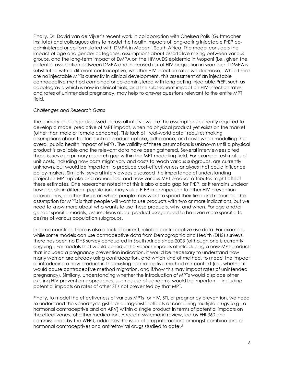Finally, Dr. David van de Vijver's recent work in collaboration with Chelsea Polis (Guttmacher Institute) and colleagues aims to model the health impacts of long-acting injectable PrEP coadministered or co-formulated with DMPA in Mopani, South Africa. The model considers the impact of age and gender categories, assumptions about assortative mixing between various groups, and the long-term impact of DMPA on the HIV/AIDS epidemic in Mopani (i.e., given the potential association between DMPA and increased risk of HIV acquisition in women,<sup>v</sup> if DMPA is substituted with a different contraceptive, whether HIV-infection rates will decrease). While there are no injectable MPTs currently in clinical development, this assessment of an injectable contraceptive method combined or co-administered with long acting injectable PrEP, such as cabotegravir, which is now in clinical trials, and the subsequent impact on HIV-infection rates and rates of unintended pregnancy, may help to answer questions relevant to the entire MPT field.

#### *Challenges and Research Gaps*

The primary challenge discussed across all interviews are the assumptions currently required to develop a model predictive of MPT impact, when no physical product yet exists on the market (other than male or female condoms). This lack of "real-world data" requires making assumptions about factors such as product uptake, adherence, and costs when modelling the overall public health impact of MPTs. The validity of these assumptions is unknown until a physical product is available and the relevant data have been gathered. Several interviewees cited these issues as a primary research gap within the MPT modelling field. For example, estimates of unit costs, including how costs might vary and costs to reach various subgroups, are currently unknown, but would be important to produce cost-effectiveness analyses that could influence policy-makers. Similarly, several interviewees discussed the importance of understanding projected MPT uptake and adherence, and how various MPT product attributes might affect these estimates. One researcher noted that this is also a data gap for PrEP, as it remains unclear how people in different populations may value PrEP in comparison to other HIV prevention approaches, or other things on which people may want to spend their time and resources. The assumption for MPTs is that people will want to use products with two or more indications, but we need to know more about who wants to use these products, why, and when. For age and/or gender specific models, assumptions about product usage need to be even more specific to desires of various population subgroups.

In some countries, there is also a lack of current, reliable contraceptive use data. For example, while some models can use contraceptive data from Demographic and Health (DHS) surveys, there has been no DHS survey conducted in South Africa since 2003 (although one is currently ongoing). For models that would consider the various impacts of introducing a new MPT product that included a pregnancy prevention indication, it would be necessary to understand how many women are already using contraception, and which kind of method, to model the impact of introducing a new product in the existing contraceptive method mix context (i.e., whether it would cause contraceptive method migration, and if/how this may impact rates of unintended pregnancy). Similarly, understanding whether the introduction of MPTs would displace other existing HIV prevention approaches, such as use of condoms, would be important – including potential impacts on rates of other STIs not prevented by that MPT.

Finally, to model the effectiveness of various MPTs for HIV, STI, or pregnancy prevention, we need to understand the varied synergistic or antagonistic effects of combining multiple drugs (e.g., a hormonal contraceptive and an ARV) within a single product in terms of potential impacts on the effectiveness of either medication. A recent systematic review, led by FHI 360 and commissioned by the WHO, addresses the issue of drug interactions amongst combinations of hormonal contraceptives and antiretroviral drugs studied to date. vi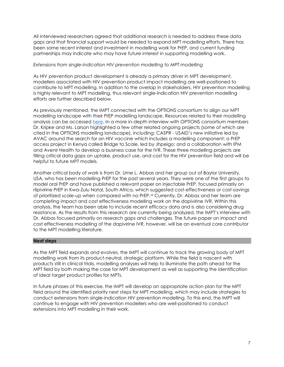All interviewed researchers agreed that additional research is needed to address these data gaps and that financial support would be needed to expand MPT modelling efforts. There has been some recent interest and investment in modelling work for PrEP, and current funding partnerships may indicate who may have future interest in supporting modelling work.

## *Extensions from single-indication HIV prevention modelling to MPT modelling*

As HIV prevention product development is already a primary driver in MPT development, modellers associated with HIV prevention product impact modelling are well-positioned to contribute to MPT modelling. In addition to the overlap in stakeholders, HIV prevention modelling is highly relevant to MPT modelling, thus relevant single-indication HIV prevention modelling efforts are further described below.

As previously mentioned, the IMPT connected with the OPTIONS consortium to align our MPT modelling landscape with their PrEP modelling landscape. Resources related to their modelling analysis can be accessed [here.](http://www.prepwatch.org/mpii-tools-resources/) In a more in-depth interview with OPTIONS consortium members Dr. Kripke and Ms. Larson highlighted a few other related ongoing projects (some of which are cited in the OPTIONS modelling landscape), including: CASPR - USAID's new initiative led by AVAC around the search for an HIV vaccine which includes a modelling component; a PrEP access project in Kenya called Bridge to Scale, led by Jhpeigo; and a collaboration with IPM and Avenir Health to develop a business case for the IVR. These three modelling projects are filling critical data gaps on uptake, product use, and cost for the HIV prevention field and will be helpful to future MPT models.

Another critical body of work is from Dr. Ume L. Abbas and her group out of Baylor University, USA, who has been modelling PrEP for the past several years. They were one of the first groups to model oral PrEP and have published a relevant paper on injectable PrEP, focused primarily on rilpivirine PrEP in Kwa-Zulu Natal, South Africa, which suggested cost-effectiveness or cost-savings of prioritized scale-up when compared with no PrEP.vii Currently, Dr. Abbas and her team are completing impact and cost effectiveness modelling work on the dapivirine IVR. Within this analysis, the team has been able to include recent efficacy data and is also considering drug resistance. As the results from this research are currently being analyzed, the IMPT's interview with Dr. Abbas focused primarily on research gaps and challenges. The future paper on impact and cost effectiveness modelling of the dapivirine IVR, however, will be an eventual core contributor to the MPT modelling literature.

#### **Next steps**

As the MPT field expands and evolves, the IMPT will continue to track the growing body of MPT modelling work from its product-neutral, strategic platform. While the field is nascent with products still in clinical trials, modelling analyses will help to illuminate the path ahead for the MPT field by both making the case for MPT development as well as supporting the identification of ideal target product profiles for MPTs.

In future phases of this exercise, the IMPT will develop an appropriate action plan for the MPT field around the identified priority next steps for MPT modelling, which may include strategies to conduct extensions from single-indication HIV prevention modelling. To this end, the IMPT will continue to engage with HIV prevention modellers who are well-positioned to conduct extensions into MPT modelling in their work.